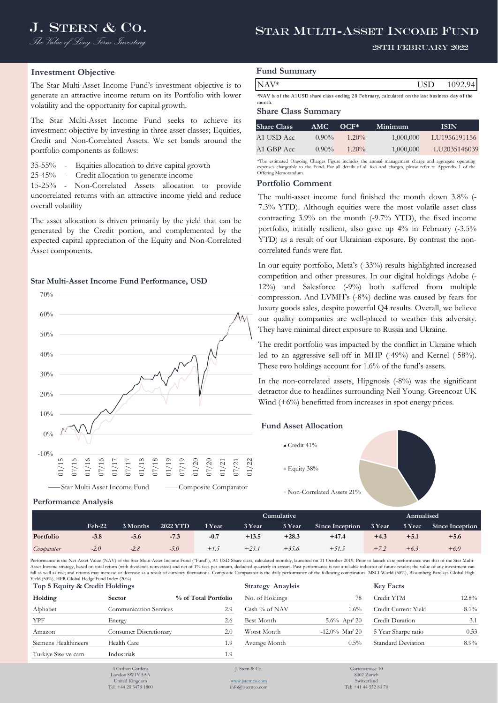# J. STERN & CO. STAR MULTI-ASSET INCOME FUND

#### 28th February 2022

## **Investment Objective**

**Performance Analysis**

The Star Multi-Asset Income Fund's investment objective is to generate an attractive income return on its Portfolio with lower volatility and the opportunity for capital growth.

The Star Multi-Asset Income Fund seeks to achieve its investment objective by investing in three asset classes; Equities, Credit and Non-Correlated Assets. We set bands around the portfolio components as follows:

35-55% - Equities allocation to drive capital growth

25-45% - Credit allocation to generate income

15-25% - Non-Correlated Assets allocation to provide uncorrelated returns with an attractive income yield and reduce overall volatility

The asset allocation is driven primarily by the yield that can be generated by the Credit portion, and complemented by the expected capital appreciation of the Equity and Non-Correlated Asset components.

#### **Star Multi-Asset Income Fund Performance, USD**



# **Fund Summary**

| $NAV^*$ | <b>ICIT</b><br>``<br>ັບມ | 092<br>$0\Delta$ |
|---------|--------------------------|------------------|
|         |                          |                  |

\*NAV is of the A1 USD share class ending 28 February, calculated on the last business day of the month.

#### **Share Class Summary**

| <b>Share Class</b> | AMC.     | $OCF^*$  | Minimum   | <b>ISIN</b>  |
|--------------------|----------|----------|-----------|--------------|
| A1 USD Acc.        | $0.90\%$ | $1.20\%$ | 1,000,000 | LU1956191156 |
| A1 GBP Acc         | $0.90\%$ | $1.20\%$ | 1,000,000 | LU2035146039 |
|                    |          |          |           |              |

\*The estimated Ongoing Charges Figure includes the annual management charge and aggregate operating expenses chargeable to the Fund. For all details of all fees and charges, please refer to Appendix 1 of the Offering Memorandu

#### **Portfolio Comment**

The multi-asset income fund finished the month down 3.8% (- 7.3% YTD). Although equities were the most volatile asset class contracting 3.9% on the month (-9.7% YTD), the fixed income portfolio, initially resilient, also gave up 4% in February (-3.5% YTD) as a result of our Ukrainian exposure. By contrast the noncorrelated funds were flat.

XAV\*<br> **CUMUAT**<br>
MAV\* is ofte AUISD than shas enling 28 February, calculated on the last basises days of the<br>
month<br>
Share Class Summary<br>
Share Class Summary<br>
Share Class Summary<br>
Share Class Summary<br>
An USD Acc 0.90% 1,20% In our equity portfolio, Meta's (-33%) results highlighted increased competition and other pressures. In our digital holdings Adobe (- 12%) and Salesforce (-9%) both suffered from multiple compression. And LVMH's (-8%) decline was caused by fears for luxury goods sales, despite powerful Q4 results. Overall, we believe our quality companies are well-placed to weather this adversity. They have minimal direct exposure to Russia and Ukraine.

The credit portfolio was impacted by the conflict in Ukraine which led to an aggressive sell-off in MHP (-49%) and Kernel (-58%). These two holdings account for 1.6% of the fund's assets.

In the non-correlated assets, Hipgnosis (-8%) was the significant detractor due to headlines surrounding Neil Young. Greencoat UK Wind  $(+6%)$  benefitted from increases in spot energy prices.

#### **Fund Asset Allocation**



Non-Correlated Assets 21%

|            |          |          |                 |        |         | <b>Cumulative</b> | Annualised      |        |        |                 |
|------------|----------|----------|-----------------|--------|---------|-------------------|-----------------|--------|--------|-----------------|
|            | $Feb-22$ | 3 Months | <b>2022 YTD</b> | 1 Year | 3 Year  | 5 Year            | Since Inception | 3 Year | 5 Year | Since Inception |
| Portfolio  | $-3.8$   | $-5.6$   | $-7.3$          | -0.7   | $+13.5$ | $+28.3$           | $+47.4$         | $+4.3$ | $+5.1$ | $+5.6$          |
| Comparator | $-2.0$   | $-2.8$   | $-5.0$          | $+1.5$ | $+23.7$ | $+35.6$           | $+51.5$         | $+7.2$ | $+6.3$ | $+6.0$          |

Performance is the Net Asset Value (NAV) of the Star Multi-Asset Income Fund ("Fund"), A1 USD Share class, calculated monthly, launched on 01 October 2019. Prior to launch date performance was that of the Star Multi-Asset Income strategy, based on total return (with dividends reinvested) and net of 1% fees per annum, deducted quarterly in arrears. Past performance is not a reliable indicator of future results; the value of any investm fall as well as rise; and returns may increase or decrease as a result of currency fluctuations. Composite Comparator is the daily performance of the following comparators: MSCI World (30%), Bloomberg Barclays Global High Yield (50%), HFR Global Hedge Fund Index (20%)

| Top 5 Equity & Credit Holdings |                               |                      | <b>Strategy Anaylsis</b> |                   | <b>Key Facts</b>     |          |
|--------------------------------|-------------------------------|----------------------|--------------------------|-------------------|----------------------|----------|
| Holding                        | <b>Sector</b>                 | % of Total Portfolio | No. of Holdings          | 78                | Credit YTM           | $12.8\%$ |
| Alphabet                       | <b>Communication Services</b> | 2.9                  | Cash % of NAV            | $1.6\%$           | Credit Current Yield | $8.1\%$  |
| YPF                            | Energy                        | 2.6                  | Best Month               | $5.6\%$ Apr' 20   | Credit Duration      | 3.1      |
| Amazon                         | <b>Consumer Discretionary</b> | 2.0                  | Worst Month              | $-12.0\%$ Mar' 20 | 5 Year Sharpe ratio  | 0.53     |
| Siemens Healthineers           | Health Care                   | 1.9                  | Average Month            | $0.5\%$           | Standard Deviation   | $8.9\%$  |
| Turkiye Sise ve cam            | Industrials                   | 1.9                  |                          |                   |                      |          |
|                                |                               |                      |                          |                   |                      |          |

| <b>DEV FACTS</b>     |         |
|----------------------|---------|
| Credit YTM           | 12.8%   |
| Credit Current Yield | $8.1\%$ |
| Credit Duration      | 3.1     |
| 5 Year Sharpe ratio  | 0.53    |
| Standard Deviation   | $8.9\%$ |

4 Carlton Garden London SW1Y 5AA United Kingdom Tel: +44 20 3478 1800 J. Stern & Co.

[www.jsternco.com](http://www.jsternco.com/) info@jsternco.com

Gartenstrasse 10 8002 Zurich Switzerland Tel: +41 44 552 80 70